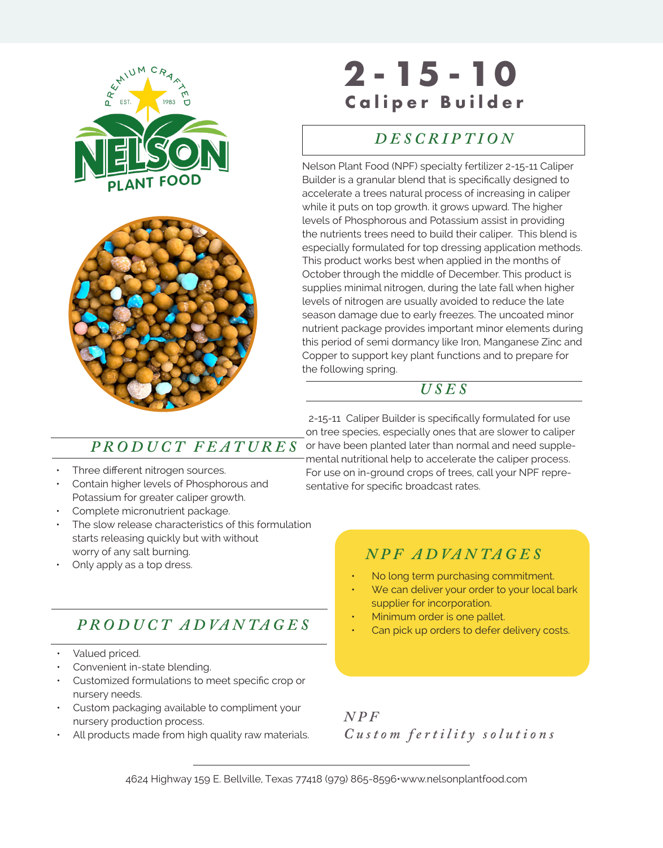



# **SAMEL TITLE HERE**<br> **Caliper Builder 2 - 15 - 10**

#### *DES DESCRIPTION*

Nelson Plant Food (NPF) specialty fertilizer 2-15-11 Caliper Builder is a granular blend that is specifically designed to accelerate a trees natural process of increasing in caliper while it puts on top growth. it grows upward. The higher levels of Phosphorous and Potassium assist in providing the nutrients trees need to build their caliper. This blend is especially formulated for top dressing application methods. This product works best when applied in the months of October through the middle of December. This product is supplies minimal nitrogen, during the late fall when higher levels of nitrogen are usually avoided to reduce the late season damage due to early freezes. The uncoated minor nutrient package provides important minor elements during this period of semi dormancy like Iron, Manganese Zinc and Copper to support key plant functions and to prepare for the following spring.

### *USES*

- Three different nitrogen sources.
- Contain higher levels of Phosphorous and Potassium for greater caliper growth.
- Complete micronutrient package.
- The slow release characteristics of this formulation starts releasing quickly but with without worry of any salt burning.
- Only apply as a top dress.

## *P RO D U C T A D VA N TA G E S*

- Valued priced.
- Convenient in-state blending.
- Customized formulations to meet specific crop or nursery needs.
- Custom packaging available to compliment your nursery production process.
- All products made from high quality raw materials.

 2-15-11 Caliper Builder is specifically formulated for use on tree species, especially ones that are slower to caliper  $PRODUCT \ FEATURES$  or have been planted later than normal and need supplemental nutritional help to accelerate the caliper process. For use on in-ground crops of trees, call your NPF representative for specific broadcast rates.

## *N P F A D VA N TA G E S*

- No long term purchasing commitment.
- We can deliver your order to your local bark supplier for incorporation.
- Minimum order is one pallet.
- Can pick up orders to defer delivery costs.

*N P F Custom fertility solutions*